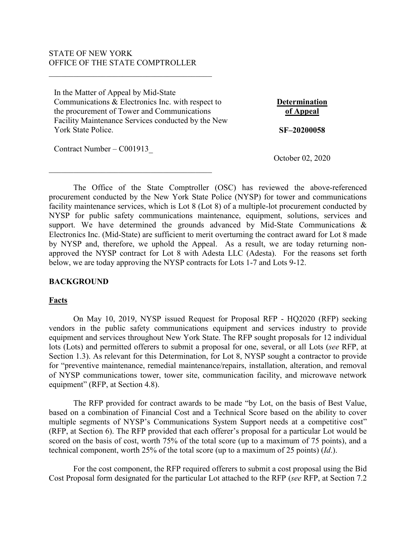### STATE OF NEW YORK OFFICE OF THE STATE COMPTROLLER

 $\overline{\mathcal{L}}$  , and the state of the state of the state of the state of the state of the state of the state of the state of the state of the state of the state of the state of the state of the state of the state of the stat

In the Matter of Appeal by Mid-State Communications & Electronics Inc. with respect to the procurement of Tower and Communications Facility Maintenance Services conducted by the New York State Police.

**Determination of Appeal SF–20200058**

Contract Number – C001913\_

October 02, 2020

The Office of the State Comptroller (OSC) has reviewed the above-referenced procurement conducted by the New York State Police (NYSP) for tower and communications facility maintenance services, which is Lot 8 (Lot 8) of a multiple-lot procurement conducted by NYSP for public safety communications maintenance, equipment, solutions, services and support. We have determined the grounds advanced by Mid-State Communications & Electronics Inc. (Mid-State) are sufficient to merit overturning the contract award for Lot 8 made by NYSP and, therefore, we uphold the Appeal. As a result, we are today returning nonapproved the NYSP contract for Lot 8 with Adesta LLC (Adesta). For the reasons set forth below, we are today approving the NYSP contracts for Lots 1-7 and Lots 9-12.

### **BACKGROUND**

### **Facts**

On May 10, 2019, NYSP issued Request for Proposal RFP - HQ2020 (RFP) seeking vendors in the public safety communications equipment and services industry to provide equipment and services throughout New York State. The RFP sought proposals for 12 individual lots (Lots) and permitted offerers to submit a proposal for one, several, or all Lots (*see* RFP, at Section 1.3). As relevant for this Determination, for Lot 8, NYSP sought a contractor to provide for "preventive maintenance, remedial maintenance/repairs, installation, alteration, and removal of NYSP communications tower, tower site, communication facility, and microwave network equipment" (RFP, at Section 4.8).

The RFP provided for contract awards to be made "by Lot, on the basis of Best Value, based on a combination of Financial Cost and a Technical Score based on the ability to cover multiple segments of NYSP's Communications System Support needs at a competitive cost" (RFP, at Section 6). The RFP provided that each offerer's proposal for a particular Lot would be scored on the basis of cost, worth 75% of the total score (up to a maximum of 75 points), and a technical component, worth 25% of the total score (up to a maximum of 25 points) (*Id*.).

For the cost component, the RFP required offerers to submit a cost proposal using the Bid Cost Proposal form designated for the particular Lot attached to the RFP (*see* RFP, at Section 7.2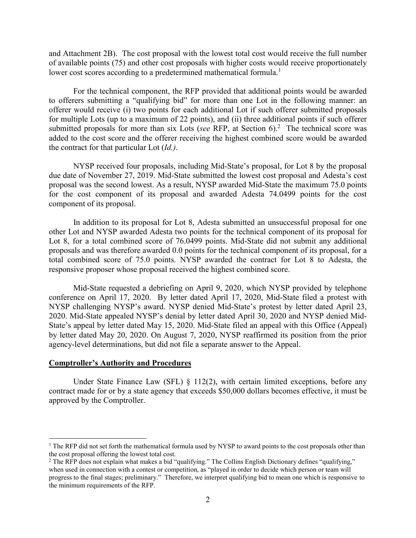and Attachment 2B). The cost proposal with the lowest total cost would receive the full number of available points (75) and other cost proposals with higher costs would receive proportionately lower cost scores according to a predetermined mathematical formula.<sup>1</sup>

For the technical component, the RFP provided that additional points would be awarded to offerers submitting a "qualifying bid" for more than one Lot in the following manner: an offerer would receive (i) two points for each additional Lot if such offerer submitted proposals for multiple Lots (up to a maximum of 22 points), and (ii) three additional points if such offerer submitted proposals for more than six Lots (*see RFP*, at Section  $6$ ).<sup>2</sup> The technical score was added to the cost score and the offerer receiving the highest combined score would be awarded the contract for that particular Lot (*Id.)*.

NYSP received four proposals, including Mid-State's proposal, for Lot 8 by the proposal due date of November 27, 2019. Mid-State submitted the lowest cost proposal and Adesta's cost proposal was the second lowest. As a result, NYSP awarded Mid-State the maximum 75.0 points for the cost component of its proposal and awarded Adesta 74.0499 points for the cost component of its proposal.

In addition to its proposal for Lot 8, Adesta submitted an unsuccessful proposal for one other Lot and NYSP awarded Adesta two points for the technical component of its proposal for Lot 8, for a total combined score of 76.0499 points. Mid-State did not submit any additional proposals and was therefore awarded 0.0 points for the technical component of its proposal, for a total combined score of 75.0 points. NYSP awarded the contract for Lot 8 to Adesta, the responsive proposer whose proposal received the highest combined score.

Mid-State requested a debriefing on April 9, 2020, which NYSP provided by telephone conference on April 17, 2020. By letter dated April 17, 2020, Mid-State filed a protest with NYSP challenging NYSP's award. NYSP denied Mid-State's protest by letter dated April 23, 2020. Mid-State appealed NYSP's denial by letter dated April 30, 2020 and NYSP denied Mid-State's appeal by letter dated May 15, 2020. Mid-State filed an appeal with this Office (Appeal) by letter dated May 20, 2020. On August 7, 2020, NYSP reaffirmed its position from the prior agency-level determinations, but did not file a separate answer to the Appeal.

#### **Comptroller's Authority and Procedures**

 $\overline{a}$ 

Under State Finance Law (SFL)  $\S$  112(2), with certain limited exceptions, before any contract made for or by a state agency that exceeds \$50,000 dollars becomes effective, it must be approved by the Comptroller.

<sup>&</sup>lt;sup>1</sup> The RFP did not set forth the mathematical formula used by NYSP to award points to the cost proposals other than the cost proposal offering the lowest total cost.

<sup>&</sup>lt;sup>2</sup> The RFP does not explain what makes a bid "qualifying." The Collins English Dictionary defines "qualifying," when used in connection with a contest or competition, as "played in order to decide which person or team will progress to the final stages; preliminary." Therefore, we interpret qualifying bid to mean one which is responsive to the minimum requirements of the RFP.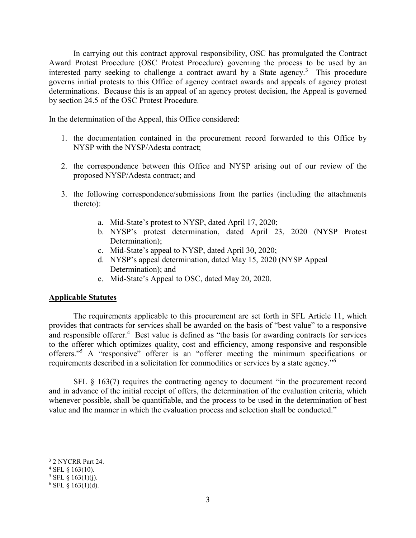In carrying out this contract approval responsibility, OSC has promulgated the Contract Award Protest Procedure (OSC Protest Procedure) governing the process to be used by an interested party seeking to challenge a contract award by a State agency.<sup>3</sup> This procedure governs initial protests to this Office of agency contract awards and appeals of agency protest determinations. Because this is an appeal of an agency protest decision, the Appeal is governed by section 24.5 of the OSC Protest Procedure.

In the determination of the Appeal, this Office considered:

- 1. the documentation contained in the procurement record forwarded to this Office by NYSP with the NYSP/Adesta contract;
- 2. the correspondence between this Office and NYSP arising out of our review of the proposed NYSP/Adesta contract; and
- 3. the following correspondence/submissions from the parties (including the attachments thereto):
	- a. Mid-State's protest to NYSP, dated April 17, 2020;
	- b. NYSP's protest determination, dated April 23, 2020 (NYSP Protest Determination):
	- c. Mid-State's appeal to NYSP, dated April 30, 2020;
	- d. NYSP's appeal determination, dated May 15, 2020 (NYSP Appeal Determination); and
	- e. Mid-State's Appeal to OSC, dated May 20, 2020.

#### **Applicable Statutes**

The requirements applicable to this procurement are set forth in SFL Article 11, which provides that contracts for services shall be awarded on the basis of "best value" to a responsive and responsible offerer.<sup>4</sup> Best value is defined as "the basis for awarding contracts for services to the offerer which optimizes quality, cost and efficiency, among responsive and responsible offerers."<sup>5</sup> A "responsive" offerer is an "offerer meeting the minimum specifications or requirements described in a solicitation for commodities or services by a state agency."<sup>6</sup>

SFL § 163(7) requires the contracting agency to document "in the procurement record and in advance of the initial receipt of offers, the determination of the evaluation criteria, which whenever possible, shall be quantifiable, and the process to be used in the determination of best value and the manner in which the evaluation process and selection shall be conducted."

 $\overline{a}$ 

<sup>3</sup> 2 NYCRR Part 24.

 $4$  SFL  $\S$  163(10).

 $5$  SFL § 163(1)(j).

 $6$  SFL § 163(1)(d).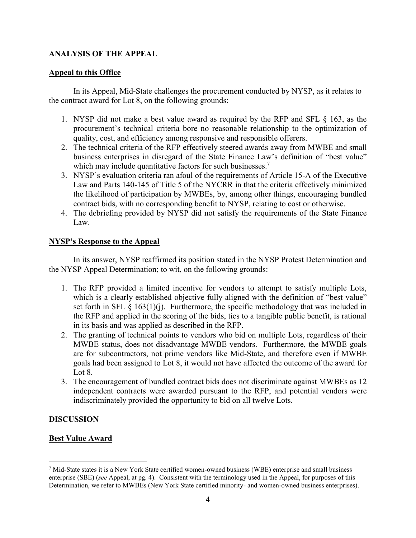## **ANALYSIS OF THE APPEAL**

### **Appeal to this Office**

In its Appeal, Mid-State challenges the procurement conducted by NYSP, as it relates to the contract award for Lot 8, on the following grounds:

- 1. NYSP did not make a best value award as required by the RFP and SFL § 163, as the procurement's technical criteria bore no reasonable relationship to the optimization of quality, cost, and efficiency among responsive and responsible offerers.
- 2. The technical criteria of the RFP effectively steered awards away from MWBE and small business enterprises in disregard of the State Finance Law's definition of "best value" which may include quantitative factors for such businesses.<sup>7</sup>
- 3. NYSP's evaluation criteria ran afoul of the requirements of Article 15-A of the Executive Law and Parts 140-145 of Title 5 of the NYCRR in that the criteria effectively minimized the likelihood of participation by MWBEs, by, among other things, encouraging bundled contract bids, with no corresponding benefit to NYSP, relating to cost or otherwise.
- 4. The debriefing provided by NYSP did not satisfy the requirements of the State Finance Law.

### **NYSP's Response to the Appeal**

In its answer, NYSP reaffirmed its position stated in the NYSP Protest Determination and the NYSP Appeal Determination; to wit, on the following grounds:

- 1. The RFP provided a limited incentive for vendors to attempt to satisfy multiple Lots, which is a clearly established objective fully aligned with the definition of "best value" set forth in SFL  $\S$  163(1)(j). Furthermore, the specific methodology that was included in the RFP and applied in the scoring of the bids, ties to a tangible public benefit, is rational in its basis and was applied as described in the RFP.
- 2. The granting of technical points to vendors who bid on multiple Lots, regardless of their MWBE status, does not disadvantage MWBE vendors. Furthermore, the MWBE goals are for subcontractors, not prime vendors like Mid-State, and therefore even if MWBE goals had been assigned to Lot 8, it would not have affected the outcome of the award for Lot 8.
- 3. The encouragement of bundled contract bids does not discriminate against MWBEs as 12 independent contracts were awarded pursuant to the RFP, and potential vendors were indiscriminately provided the opportunity to bid on all twelve Lots.

# **DISCUSSION**

# **Best Value Award**

 $\overline{a}$ <sup>7</sup> Mid-State states it is a New York State certified women-owned business (WBE) enterprise and small business enterprise (SBE) (*see* Appeal, at pg. 4). Consistent with the terminology used in the Appeal, for purposes of this Determination, we refer to MWBEs (New York State certified minority- and women-owned business enterprises).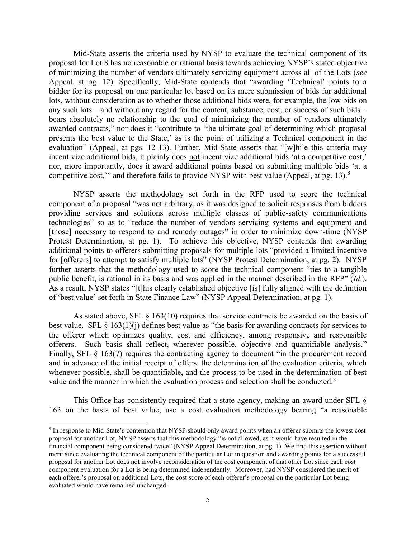Mid-State asserts the criteria used by NYSP to evaluate the technical component of its proposal for Lot 8 has no reasonable or rational basis towards achieving NYSP's stated objective of minimizing the number of vendors ultimately servicing equipment across all of the Lots (*see* Appeal, at pg. 12). Specifically, Mid-State contends that "awarding 'Technical' points to a bidder for its proposal on one particular lot based on its mere submission of bids for additional lots, without consideration as to whether those additional bids were, for example, the low bids on any such lots – and without any regard for the content, substance, cost, or success of such bids – bears absolutely no relationship to the goal of minimizing the number of vendors ultimately awarded contracts," nor does it "contribute to 'the ultimate goal of determining which proposal presents the best value to the State,' as is the point of utilizing a Technical component in the evaluation" (Appeal, at pgs. 12-13). Further, Mid-State asserts that "[w]hile this criteria may incentivize additional bids, it plainly does not incentivize additional bids 'at a competitive cost,' nor, more importantly, does it award additional points based on submitting multiple bids 'at a competitive cost," and therefore fails to provide NYSP with best value (Appeal, at pg. 13).<sup>8</sup>

NYSP asserts the methodology set forth in the RFP used to score the technical component of a proposal "was not arbitrary, as it was designed to solicit responses from bidders providing services and solutions across multiple classes of public-safety communications technologies" so as to "reduce the number of vendors servicing systems and equipment and [those] necessary to respond to and remedy outages" in order to minimize down-time (NYSP Protest Determination, at pg. 1). To achieve this objective, NYSP contends that awarding additional points to offerers submitting proposals for multiple lots "provided a limited incentive for [offerers] to attempt to satisfy multiple lots" (NYSP Protest Determination, at pg. 2). NYSP further asserts that the methodology used to score the technical component "ties to a tangible public benefit, is rational in its basis and was applied in the manner described in the RFP" (*Id*.). As a result, NYSP states "[t]his clearly established objective [is] fully aligned with the definition of 'best value' set forth in State Finance Law" (NYSP Appeal Determination, at pg. 1).

As stated above, SFL  $\S$  163(10) requires that service contracts be awarded on the basis of best value. SFL  $\S$  163(1)(j) defines best value as "the basis for awarding contracts for services to the offerer which optimizes quality, cost and efficiency, among responsive and responsible offerers. Such basis shall reflect, wherever possible, objective and quantifiable analysis." Finally, SFL § 163(7) requires the contracting agency to document "in the procurement record and in advance of the initial receipt of offers, the determination of the evaluation criteria, which whenever possible, shall be quantifiable, and the process to be used in the determination of best value and the manner in which the evaluation process and selection shall be conducted."

This Office has consistently required that a state agency, making an award under SFL § 163 on the basis of best value, use a cost evaluation methodology bearing "a reasonable

 $\overline{a}$ 

<sup>&</sup>lt;sup>8</sup> In response to Mid-State's contention that NYSP should only award points when an offerer submits the lowest cost proposal for another Lot, NYSP asserts that this methodology "is not allowed, as it would have resulted in the financial component being considered twice" (NYSP Appeal Determination, at pg. 1). We find this assertion without merit since evaluating the technical component of the particular Lot in question and awarding points for a successful proposal for another Lot does not involve reconsideration of the cost component of that other Lot since each cost component evaluation for a Lot is being determined independently. Moreover, had NYSP considered the merit of each offerer's proposal on additional Lots, the cost score of each offerer's proposal on the particular Lot being evaluated would have remained unchanged.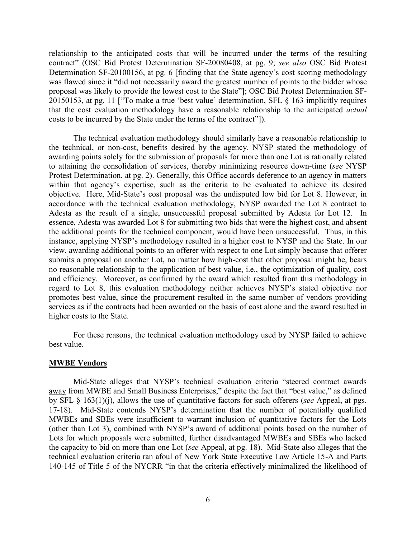relationship to the anticipated costs that will be incurred under the terms of the resulting contract" (OSC Bid Protest Determination SF-20080408, at pg. 9; *see also* OSC Bid Protest Determination SF-20100156, at pg. 6 [finding that the State agency's cost scoring methodology was flawed since it "did not necessarily award the greatest number of points to the bidder whose proposal was likely to provide the lowest cost to the State"]; OSC Bid Protest Determination SF-20150153, at pg. 11 ["To make a true 'best value' determination, SFL § 163 implicitly requires that the cost evaluation methodology have a reasonable relationship to the anticipated *actual* costs to be incurred by the State under the terms of the contract"]).

The technical evaluation methodology should similarly have a reasonable relationship to the technical, or non-cost, benefits desired by the agency. NYSP stated the methodology of awarding points solely for the submission of proposals for more than one Lot is rationally related to attaining the consolidation of services, thereby minimizing resource down-time (*see* NYSP Protest Determination, at pg. 2). Generally, this Office accords deference to an agency in matters within that agency's expertise, such as the criteria to be evaluated to achieve its desired objective. Here, Mid-State's cost proposal was the undisputed low bid for Lot 8. However, in accordance with the technical evaluation methodology, NYSP awarded the Lot 8 contract to Adesta as the result of a single, unsuccessful proposal submitted by Adesta for Lot 12. In essence, Adesta was awarded Lot 8 for submitting two bids that were the highest cost, and absent the additional points for the technical component, would have been unsuccessful. Thus, in this instance, applying NYSP's methodology resulted in a higher cost to NYSP and the State. In our view, awarding additional points to an offerer with respect to one Lot simply because that offerer submits a proposal on another Lot, no matter how high-cost that other proposal might be, bears no reasonable relationship to the application of best value, i.e., the optimization of quality, cost and efficiency. Moreover, as confirmed by the award which resulted from this methodology in regard to Lot 8, this evaluation methodology neither achieves NYSP's stated objective nor promotes best value, since the procurement resulted in the same number of vendors providing services as if the contracts had been awarded on the basis of cost alone and the award resulted in higher costs to the State.

For these reasons, the technical evaluation methodology used by NYSP failed to achieve best value.

#### **MWBE Vendors**

Mid-State alleges that NYSP's technical evaluation criteria "steered contract awards away from MWBE and Small Business Enterprises," despite the fact that "best value," as defined by SFL § 163(1)(j), allows the use of quantitative factors for such offerers (*see* Appeal, at pgs. 17-18). Mid-State contends NYSP's determination that the number of potentially qualified MWBEs and SBEs were insufficient to warrant inclusion of quantitative factors for the Lots (other than Lot 3), combined with NYSP's award of additional points based on the number of Lots for which proposals were submitted, further disadvantaged MWBEs and SBEs who lacked the capacity to bid on more than one Lot (*see* Appeal, at pg. 18). Mid-State also alleges that the technical evaluation criteria ran afoul of New York State Executive Law Article 15-A and Parts 140-145 of Title 5 of the NYCRR "in that the criteria effectively minimalized the likelihood of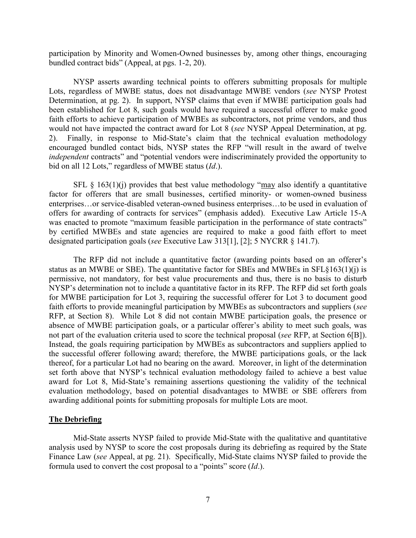participation by Minority and Women-Owned businesses by, among other things, encouraging bundled contract bids" (Appeal, at pgs. 1-2, 20).

NYSP asserts awarding technical points to offerers submitting proposals for multiple Lots, regardless of MWBE status, does not disadvantage MWBE vendors (*see* NYSP Protest Determination, at pg. 2). In support, NYSP claims that even if MWBE participation goals had been established for Lot 8, such goals would have required a successful offerer to make good faith efforts to achieve participation of MWBEs as subcontractors, not prime vendors, and thus would not have impacted the contract award for Lot 8 (*see* NYSP Appeal Determination, at pg. 2). Finally, in response to Mid-State's claim that the technical evaluation methodology encouraged bundled contact bids, NYSP states the RFP "will result in the award of twelve *independent* contracts" and "potential vendors were indiscriminately provided the opportunity to bid on all 12 Lots," regardless of MWBE status (*Id*.).

SFL  $\S$  163(1)(j) provides that best value methodology "may also identify a quantitative factor for offerers that are small businesses, certified minority- or women-owned business enterprises…or service-disabled veteran-owned business enterprises…to be used in evaluation of offers for awarding of contracts for services" (emphasis added). Executive Law Article 15-A was enacted to promote "maximum feasible participation in the performance of state contracts" by certified MWBEs and state agencies are required to make a good faith effort to meet designated participation goals (*see* Executive Law 313[1], [2]; 5 NYCRR § 141.7).

The RFP did not include a quantitative factor (awarding points based on an offerer's status as an MWBE or SBE). The quantitative factor for SBEs and MWBEs in SFL§163(1)(j) is permissive, not mandatory, for best value procurements and thus, there is no basis to disturb NYSP's determination not to include a quantitative factor in its RFP. The RFP did set forth goals for MWBE participation for Lot 3, requiring the successful offerer for Lot 3 to document good faith efforts to provide meaningful participation by MWBEs as subcontractors and suppliers (*see* RFP, at Section 8). While Lot 8 did not contain MWBE participation goals, the presence or absence of MWBE participation goals, or a particular offerer's ability to meet such goals, was not part of the evaluation criteria used to score the technical proposal (*see* RFP, at Section 6[B]). Instead, the goals requiring participation by MWBEs as subcontractors and suppliers applied to the successful offerer following award; therefore, the MWBE participations goals, or the lack thereof, for a particular Lot had no bearing on the award. Moreover, in light of the determination set forth above that NYSP's technical evaluation methodology failed to achieve a best value award for Lot 8, Mid-State's remaining assertions questioning the validity of the technical evaluation methodology, based on potential disadvantages to MWBE or SBE offerers from awarding additional points for submitting proposals for multiple Lots are moot.

#### **The Debriefing**

Mid-State asserts NYSP failed to provide Mid-State with the qualitative and quantitative analysis used by NYSP to score the cost proposals during its debriefing as required by the State Finance Law (*see* Appeal, at pg. 21). Specifically, Mid-State claims NYSP failed to provide the formula used to convert the cost proposal to a "points" score (*Id*.).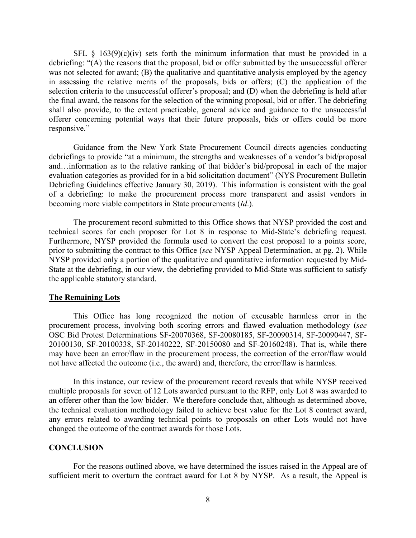SFL  $\S$  163(9)(c)(iv) sets forth the minimum information that must be provided in a debriefing: "(A) the reasons that the proposal, bid or offer submitted by the unsuccessful offerer was not selected for award; (B) the qualitative and quantitative analysis employed by the agency in assessing the relative merits of the proposals, bids or offers; (C) the application of the selection criteria to the unsuccessful offerer's proposal; and (D) when the debriefing is held after the final award, the reasons for the selection of the winning proposal, bid or offer. The debriefing shall also provide, to the extent practicable, general advice and guidance to the unsuccessful offerer concerning potential ways that their future proposals, bids or offers could be more responsive."

Guidance from the New York State Procurement Council directs agencies conducting debriefings to provide "at a minimum, the strengths and weaknesses of a vendor's bid/proposal and…information as to the relative ranking of that bidder's bid/proposal in each of the major evaluation categories as provided for in a bid solicitation document" (NYS Procurement Bulletin Debriefing Guidelines effective January 30, 2019). This information is consistent with the goal of a debriefing: to make the procurement process more transparent and assist vendors in becoming more viable competitors in State procurements (*Id*.).

The procurement record submitted to this Office shows that NYSP provided the cost and technical scores for each proposer for Lot 8 in response to Mid-State's debriefing request. Furthermore, NYSP provided the formula used to convert the cost proposal to a points score, prior to submitting the contract to this Office (*see* NYSP Appeal Determination, at pg. 2). While NYSP provided only a portion of the qualitative and quantitative information requested by Mid-State at the debriefing, in our view, the debriefing provided to Mid-State was sufficient to satisfy the applicable statutory standard.

#### **The Remaining Lots**

This Office has long recognized the notion of excusable harmless error in the procurement process, involving both scoring errors and flawed evaluation methodology (*see* OSC Bid Protest Determinations SF-20070368, SF-20080185, SF-20090314, SF-20090447, SF-20100130, SF-20100338, SF-20140222, SF-20150080 and SF-20160248). That is, while there may have been an error/flaw in the procurement process, the correction of the error/flaw would not have affected the outcome (i.e., the award) and, therefore, the error/flaw is harmless.

In this instance, our review of the procurement record reveals that while NYSP received multiple proposals for seven of 12 Lots awarded pursuant to the RFP, only Lot 8 was awarded to an offerer other than the low bidder. We therefore conclude that, although as determined above, the technical evaluation methodology failed to achieve best value for the Lot 8 contract award, any errors related to awarding technical points to proposals on other Lots would not have changed the outcome of the contract awards for those Lots.

#### **CONCLUSION**

For the reasons outlined above, we have determined the issues raised in the Appeal are of sufficient merit to overturn the contract award for Lot 8 by NYSP. As a result, the Appeal is